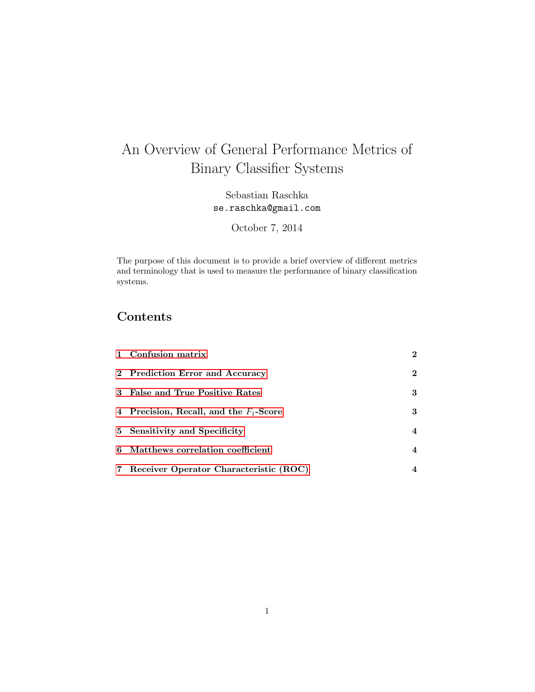# An Overview of General Performance Metrics of Binary Classifier Systems

Sebastian Raschka se.raschka@gmail.com

October 7, 2014

The purpose of this document is to provide a brief overview of different metrics and terminology that is used to measure the performance of binary classification systems.

# Contents

| 1 Confusion matrix                        | $\bf{2}$ |
|-------------------------------------------|----------|
| 2 Prediction Error and Accuracy           | $\bf{2}$ |
| 3 False and True Positive Rates           | 3        |
| 4 Precision, Recall, and the $F_1$ -Score | 3        |
| 5 Sensitivity and Specificity             | 4        |
| 6 Matthews correlation coefficient        | 4        |
| 7 Receiver Operator Characteristic (ROC)  | 4        |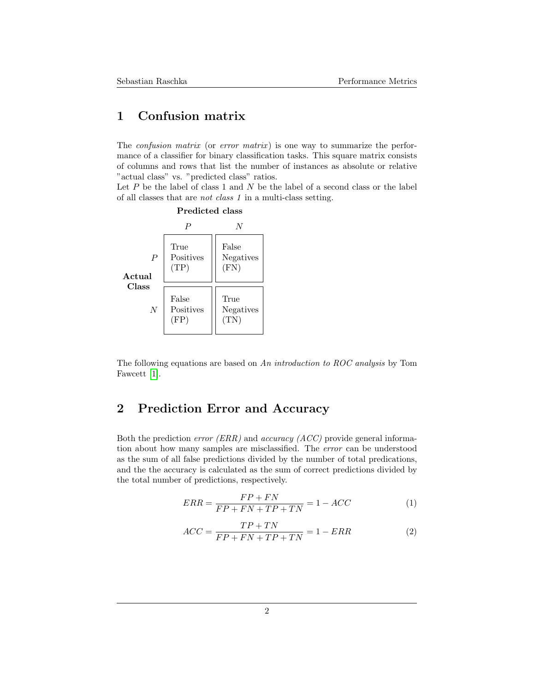#### <span id="page-1-0"></span>1 Confusion matrix

The *confusion matrix* (or *error matrix*) is one way to summarize the performance of a classifier for binary classification tasks. This square matrix consists of columns and rows that list the number of instances as absolute or relative "actual class" vs. "predicted class" ratios.

Let  $P$  be the label of class 1 and  $N$  be the label of a second class or the label of all classes that are not class 1 in a multi-class setting.



<span id="page-1-1"></span>The following equations are based on An introduction to ROC analysis by Tom Fawcett [\[1\]](#page-4-0).

## 2 Prediction Error and Accuracy

Both the prediction *error* (ERR) and *accuracy* (ACC) provide general information about how many samples are misclassified. The error can be understood as the sum of all false predictions divided by the number of total predications, and the the accuracy is calculated as the sum of correct predictions divided by the total number of predictions, respectively.

$$
ERR = \frac{FP + FN}{FP + FN + TP + TN} = 1 - ACC \tag{1}
$$

<span id="page-1-2"></span>
$$
ACC = \frac{TP + TN}{FP + FN + TP + TN} = 1 - ERR\tag{2}
$$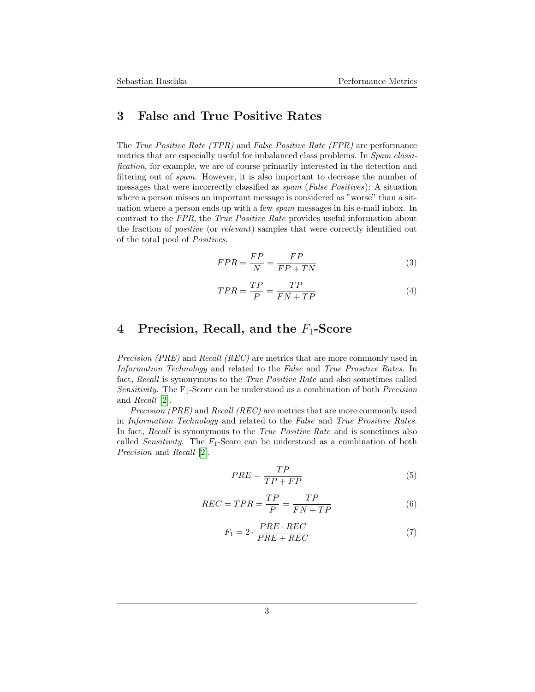#### 3 False and True Positive Rates

The True Positive Rate (TPR) and False Positive Rate (FPR) are performance metrics that are especially useful for imbalanced class problems. In Spam classification, for example, we are of course primarily interested in the detection and filtering out of spam. However, it is also important to decrease the number of messages that were incorrectly classified as spam (False Positives): A situation where a person misses an important message is considered as "worse" than a situation where a person ends up with a few spam messages in his e-mail inbox. In contrast to the FPR, the True Positive Rate provides useful information about the fraction of positive (or relevant) samples that were correctly identified out of the total pool of Positives.

$$
FPR = \frac{FP}{N} = \frac{FP}{FP + TN} \tag{3}
$$

$$
TPR = \frac{TP}{P} = \frac{TP}{FN + TP}
$$
\n<sup>(4)</sup>

#### <span id="page-2-0"></span>4 Precision, Recall, and the  $F_1$ -Score

Precision (PRE) and Recall (REC) are metrics that are more commonly used in Information Technology and related to the False and True Prositive Rates. In fact, Recall is synonymous to the True Positive Rate and also sometimes called Sensitivity. The  $F_1$ -Score can be understood as a combination of both *Precision* and Recall [\[2\]](#page-4-1).

Precision (PRE) and Recall (REC) are metrics that are more commonly used in Information Technology and related to the False and True Prositive Rates. In fact, Recall is synonymous to the True Positive Rate and is sometimes also called *Sensitivity*. The  $F_1$ -Score can be understood as a combination of both Precision and Recall [\[2\]](#page-4-1).

$$
PRE = \frac{TP}{TP + FP}
$$
\n<sup>(5)</sup>

<span id="page-2-1"></span>
$$
REC = TPR = \frac{TP}{P} = \frac{TP}{FN + TP}
$$
\n<sup>(6)</sup>

$$
F_1 = 2 \cdot \frac{PRE \cdot REC}{PRE + REC} \tag{7}
$$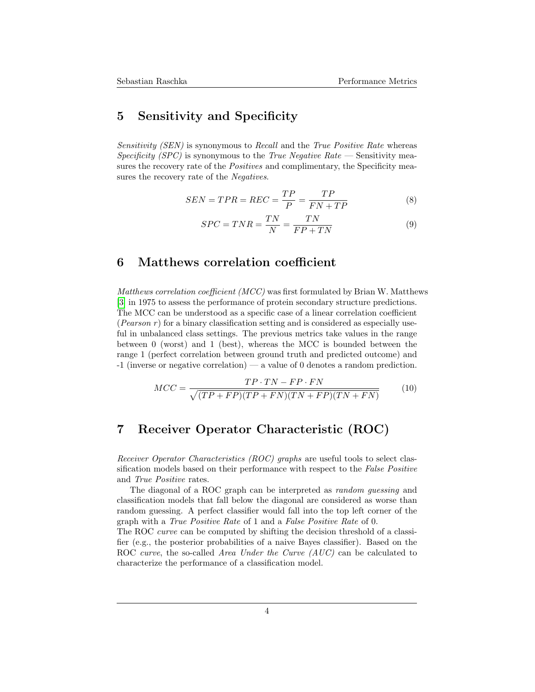#### 5 Sensitivity and Specificity

Sensitivity (SEN) is synonymous to Recall and the True Positive Rate whereas Specificity (SPC) is synonymous to the True Negative Rate — Sensitivity measures the recovery rate of the *Positives* and complimentary, the Specificity measures the recovery rate of the Negatives.

$$
SEN = TPR = REC = \frac{TP}{P} = \frac{TP}{FN + TP}
$$
\n
$$
(8)
$$

$$
SPC = TNR = \frac{TN}{N} = \frac{TN}{FP + TN}
$$
\n(9)

#### <span id="page-3-0"></span>6 Matthews correlation coefficient

Matthews correlation coefficient  $(MCC)$  was first formulated by Brian W. Matthews [\[3\]](#page-4-2) in 1975 to assess the performance of protein secondary structure predictions. The MCC can be understood as a specific case of a linear correlation coefficient (*Pearson r*) for a binary classification setting and is considered as especially useful in unbalanced class settings. The previous metrics take values in the range between 0 (worst) and 1 (best), whereas the MCC is bounded between the range 1 (perfect correlation between ground truth and predicted outcome) and -1 (inverse or negative correlation) — a value of 0 denotes a random prediction.

$$
MCC = \frac{TP \cdot TN - FP \cdot FN}{\sqrt{(TP + FP)(TP + FN)(TN + FP)(TN + FN)}}
$$
(10)

### <span id="page-3-1"></span>7 Receiver Operator Characteristic (ROC)

Receiver Operator Characteristics (ROC) graphs are useful tools to select classification models based on their performance with respect to the False Positive and True Positive rates.

The diagonal of a ROC graph can be interpreted as random guessing and classification models that fall below the diagonal are considered as worse than random guessing. A perfect classifier would fall into the top left corner of the graph with a True Positive Rate of 1 and a False Positive Rate of 0.

The ROC curve can be computed by shifting the decision threshold of a classifier (e.g., the posterior probabilities of a naive Bayes classifier). Based on the ROC curve, the so-called Area Under the Curve (AUC) can be calculated to characterize the performance of a classification model.